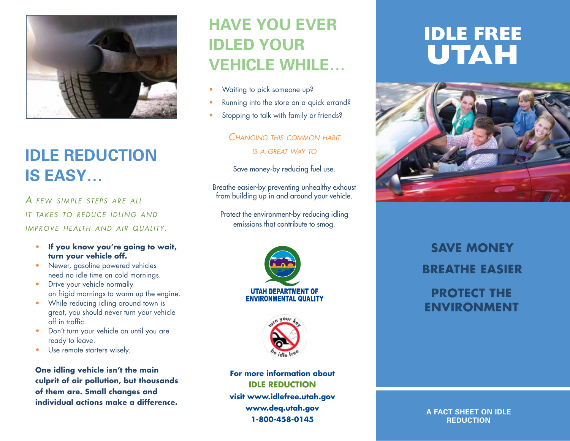

## **Idle reduction is easy…**

*A few simple steps are all it takes to reduce idling a nd improve health a nd air quality*.

- **If you know you're going to wait, turn your vehicle off.**
- Newer, gasoline powered vehicles need no idle time on cold mornings.
- Drive your vehicle normally on frigid mornings to warm up the engine.
- While reducing idling around town is great, you should never turn your vehicle off in traffic.
- Don't turn your vehicle on until you are ready to leave.
- Use remote starters wisely.

**One idling vehicle isn't the main culprit of air pollution, but thousands of them are. Small changes and individual actions make a difference.**

## **Have you ever idled your vehicle while…**

- Waiting to pick someone up?
- Running into the store on a quick errand?
- Stopping to talk with family or friends?

#### *Changing this common habit is a great way to*

Save money-by reducing fuel use.

Breathe easier-by preventing unhealthy exhaust from building up in and around your vehicle.

Protect the environment-by reducing idling emissions that contribute to smog.





**For more information about Idle Reduction visit www.idlefree.utah.gov www.deq.utah.gov 1-800-458-0145**

# **Idle Free Utah**



**Save MoneY BreathE EasieR Protect the ENVIRONMENT** 

**A Fact Sheet on Idle reduction**